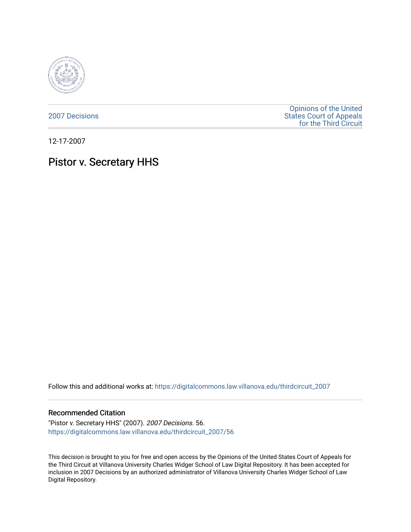

[2007 Decisions](https://digitalcommons.law.villanova.edu/thirdcircuit_2007)

[Opinions of the United](https://digitalcommons.law.villanova.edu/thirdcircuit)  [States Court of Appeals](https://digitalcommons.law.villanova.edu/thirdcircuit)  [for the Third Circuit](https://digitalcommons.law.villanova.edu/thirdcircuit) 

12-17-2007

# Pistor v. Secretary HHS

Follow this and additional works at: [https://digitalcommons.law.villanova.edu/thirdcircuit\\_2007](https://digitalcommons.law.villanova.edu/thirdcircuit_2007?utm_source=digitalcommons.law.villanova.edu%2Fthirdcircuit_2007%2F56&utm_medium=PDF&utm_campaign=PDFCoverPages) 

### Recommended Citation

"Pistor v. Secretary HHS" (2007). 2007 Decisions. 56. [https://digitalcommons.law.villanova.edu/thirdcircuit\\_2007/56](https://digitalcommons.law.villanova.edu/thirdcircuit_2007/56?utm_source=digitalcommons.law.villanova.edu%2Fthirdcircuit_2007%2F56&utm_medium=PDF&utm_campaign=PDFCoverPages)

This decision is brought to you for free and open access by the Opinions of the United States Court of Appeals for the Third Circuit at Villanova University Charles Widger School of Law Digital Repository. It has been accepted for inclusion in 2007 Decisions by an authorized administrator of Villanova University Charles Widger School of Law Digital Repository.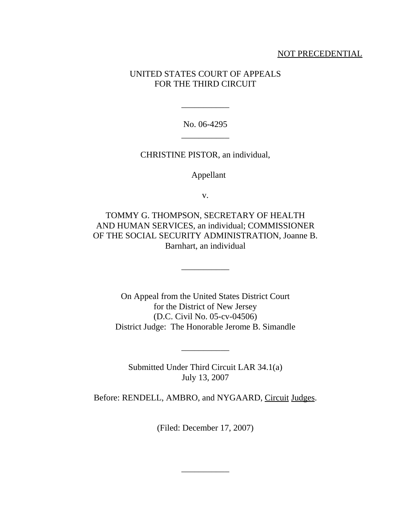## NOT PRECEDENTIAL

# UNITED STATES COURT OF APPEALS FOR THE THIRD CIRCUIT

No. 06-4295 \_\_\_\_\_\_\_\_\_\_\_

\_\_\_\_\_\_\_\_\_\_\_

CHRISTINE PISTOR, an individual,

Appellant

v.

TOMMY G. THOMPSON, SECRETARY OF HEALTH AND HUMAN SERVICES, an individual; COMMISSIONER OF THE SOCIAL SECURITY ADMINISTRATION, Joanne B. Barnhart, an individual

\_\_\_\_\_\_\_\_\_\_\_

On Appeal from the United States District Court for the District of New Jersey (D.C. Civil No. 05-cv-04506) District Judge: The Honorable Jerome B. Simandle

Submitted Under Third Circuit LAR 34.1(a) July 13, 2007

\_\_\_\_\_\_\_\_\_\_\_

Before: RENDELL, AMBRO, and NYGAARD, Circuit Judges.

(Filed: December 17, 2007)

\_\_\_\_\_\_\_\_\_\_\_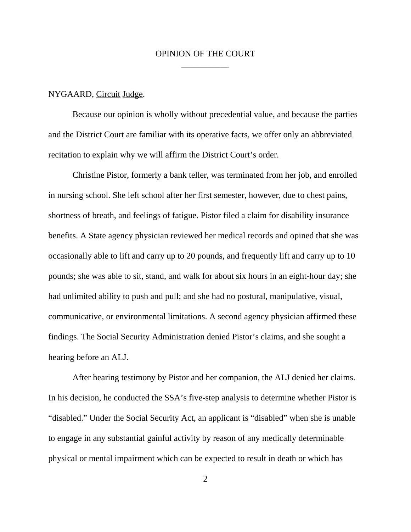## OPINION OF THE COURT \_\_\_\_\_\_\_\_\_\_\_

#### NYGAARD, Circuit Judge.

Because our opinion is wholly without precedential value, and because the parties and the District Court are familiar with its operative facts, we offer only an abbreviated recitation to explain why we will affirm the District Court's order.

Christine Pistor, formerly a bank teller, was terminated from her job, and enrolled in nursing school. She left school after her first semester, however, due to chest pains, shortness of breath, and feelings of fatigue. Pistor filed a claim for disability insurance benefits. A State agency physician reviewed her medical records and opined that she was occasionally able to lift and carry up to 20 pounds, and frequently lift and carry up to 10 pounds; she was able to sit, stand, and walk for about six hours in an eight-hour day; she had unlimited ability to push and pull; and she had no postural, manipulative, visual, communicative, or environmental limitations. A second agency physician affirmed these findings. The Social Security Administration denied Pistor's claims, and she sought a hearing before an ALJ.

After hearing testimony by Pistor and her companion, the ALJ denied her claims. In his decision, he conducted the SSA's five-step analysis to determine whether Pistor is "disabled." Under the Social Security Act, an applicant is "disabled" when she is unable to engage in any substantial gainful activity by reason of any medically determinable physical or mental impairment which can be expected to result in death or which has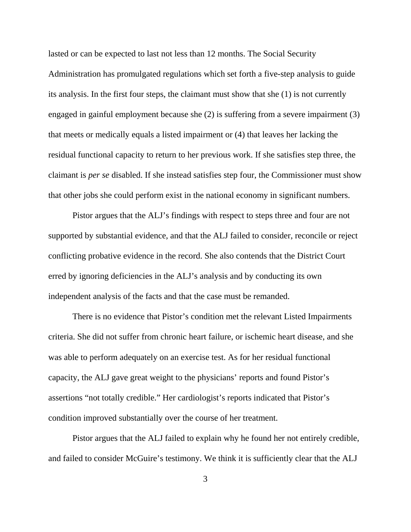lasted or can be expected to last not less than 12 months. The Social Security Administration has promulgated regulations which set forth a five-step analysis to guide its analysis. In the first four steps, the claimant must show that she (1) is not currently engaged in gainful employment because she (2) is suffering from a severe impairment (3) that meets or medically equals a listed impairment or (4) that leaves her lacking the residual functional capacity to return to her previous work. If she satisfies step three, the claimant is *per se* disabled. If she instead satisfies step four, the Commissioner must show that other jobs she could perform exist in the national economy in significant numbers.

Pistor argues that the ALJ's findings with respect to steps three and four are not supported by substantial evidence, and that the ALJ failed to consider, reconcile or reject conflicting probative evidence in the record. She also contends that the District Court erred by ignoring deficiencies in the ALJ's analysis and by conducting its own independent analysis of the facts and that the case must be remanded.

There is no evidence that Pistor's condition met the relevant Listed Impairments criteria. She did not suffer from chronic heart failure, or ischemic heart disease, and she was able to perform adequately on an exercise test. As for her residual functional capacity, the ALJ gave great weight to the physicians' reports and found Pistor's assertions "not totally credible." Her cardiologist's reports indicated that Pistor's condition improved substantially over the course of her treatment.

Pistor argues that the ALJ failed to explain why he found her not entirely credible, and failed to consider McGuire's testimony. We think it is sufficiently clear that the ALJ